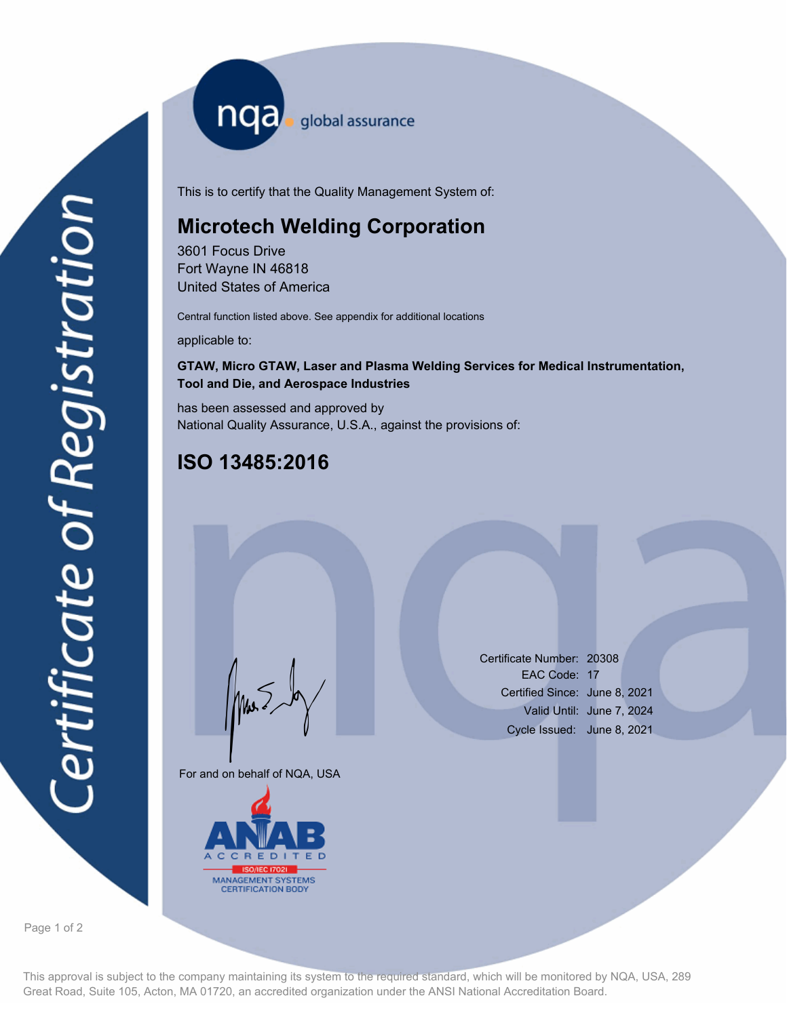nqa <sub>global assurance</sub>

This is to certify that the Quality Management System of:

# **Microtech Welding Corporation**

3601 Focus Drive Fort Wayne IN 46818 United States of America

Central function listed above. See appendix for additional locations

applicable to:

## **GTAW, Micro GTAW, Laser and Plasma Welding Services for Medical Instrumentation, Tool and Die, and Aerospace Industries**

has been assessed and approved by National Quality Assurance, U.S.A., against the provisions of:

# **ISO 13485:2016**

For and on behalf of NQA, USA

Mus



Certificate Number: 20308 EAC Code: 17 Certified Since: June 8, 2021 Valid Until: June 7, 2024 Cycle Issued: June 8, 2021

Page 1 of 2

This approval is subject to the company maintaining its system to the required standard, which will be monitored by NQA, USA, 289 Great Road, Suite 105, Acton, MA 01720, an accredited organization under the ANSI National Accreditation Board.